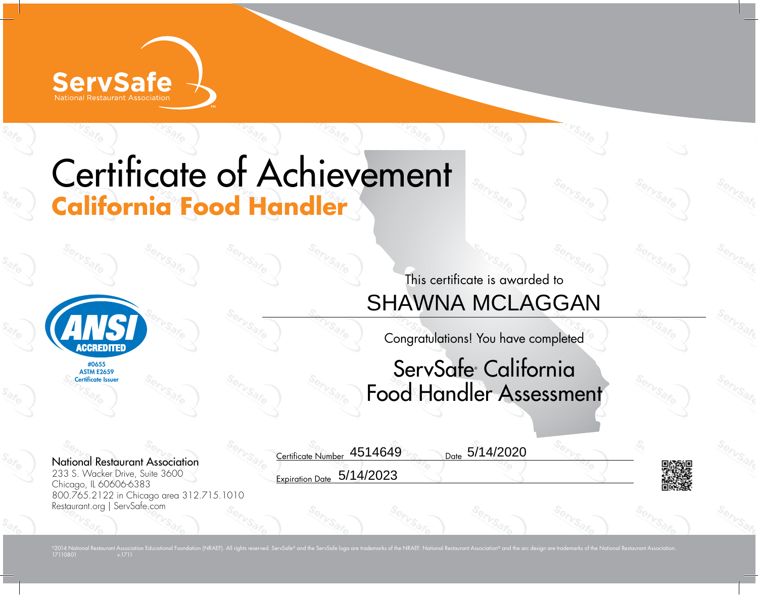

## Certificate of Achievement **California Food Handler**



#0655 **ASTM F2659** Certificate Issuer

## This certificate is awarded to SHAWNA MCLAGGAN

Congratulations! You have completed

## ServSafe® California Food Handler Assessment

Date 5/14/2020

National Restaurant Association 233 S. Wacker Drive, Suite 3600 Chicago, IL 60606-6383 800.765.2122 in Chicago area 312.715.1010 Restaurant.org | ServSafe.com

1711080<sup>1</sup>

Certificate Number 4514649

Expiration Date 5/14/2023